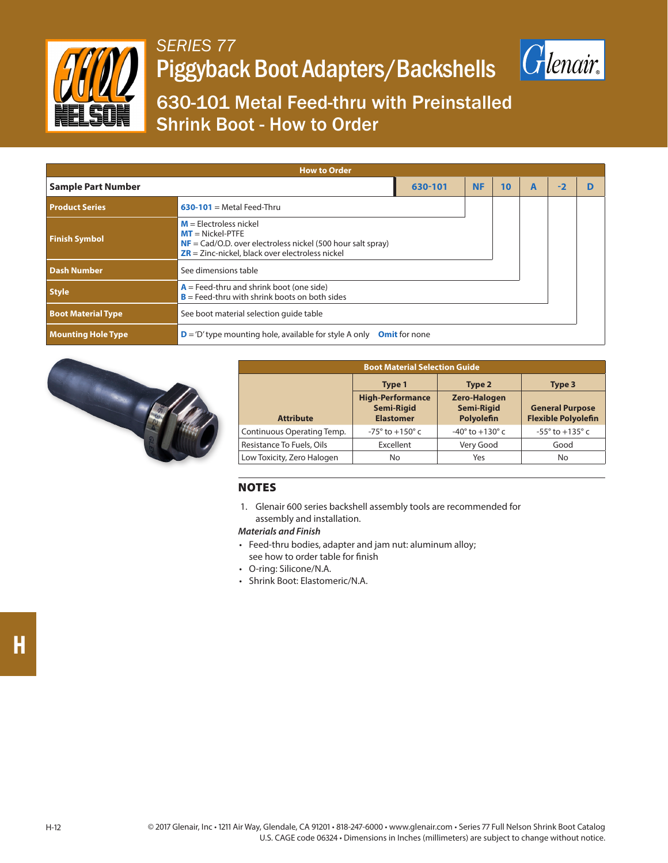

## *SERIES 77* Piggyback Boot Adapters/Backshells



630-101 Metal Feed-thru with Preinstalled Shrink Boot - How to Order

| <b>How to Order</b>       |                                                                                                                                                                                        |                      |    |   |     |  |  |  |  |
|---------------------------|----------------------------------------------------------------------------------------------------------------------------------------------------------------------------------------|----------------------|----|---|-----|--|--|--|--|
| <b>Sample Part Number</b> | 630-101                                                                                                                                                                                | <b>NF</b>            | 10 | A | - 2 |  |  |  |  |
| <b>Product Series</b>     | $630-101$ = Metal Feed-Thru                                                                                                                                                            |                      |    |   |     |  |  |  |  |
| <b>Finish Symbol</b>      | $M =$ Electroless nickel<br>$MT = Nickel-PTFE$<br>$NF = \text{Cad/O.D.}$ over electroless nickel (500 hour salt spray)<br>$\overline{ZR}$ = Zinc-nickel, black over electroless nickel |                      |    |   |     |  |  |  |  |
| <b>Dash Number</b>        | See dimensions table                                                                                                                                                                   |                      |    |   |     |  |  |  |  |
| <b>Style</b>              | $A =$ Feed-thru and shrink boot (one side)<br>$B =$ Feed-thru with shrink boots on both sides                                                                                          |                      |    |   |     |  |  |  |  |
| <b>Boot Material Type</b> | See boot material selection quide table                                                                                                                                                |                      |    |   |     |  |  |  |  |
| <b>Mounting Hole Type</b> | $\mathbf{D}$ = 'D' type mounting hole, available for style A only                                                                                                                      | <b>Omit</b> for none |    |   |     |  |  |  |  |



| <b>Boot Material Selection Guide</b> |                                                                  |                                                        |                                                      |  |  |
|--------------------------------------|------------------------------------------------------------------|--------------------------------------------------------|------------------------------------------------------|--|--|
|                                      | Type 1                                                           | Type 2                                                 | Type 3                                               |  |  |
| <b>Attribute</b>                     | <b>High-Performance</b><br><b>Semi-Rigid</b><br><b>Elastomer</b> | <b>Zero-Halogen</b><br><b>Semi-Rigid</b><br>Polyolefin | <b>General Purpose</b><br><b>Flexible Polyolefin</b> |  |  |
| Continuous Operating Temp.           | $-75^{\circ}$ to $+150^{\circ}$ c                                | $-40^{\circ}$ to $+130^{\circ}$ c                      | $-55^{\circ}$ to $+135^{\circ}$ c                    |  |  |
| Resistance To Fuels, Oils            | Excellent                                                        | Very Good                                              | Good                                                 |  |  |
| Low Toxicity, Zero Halogen           | No                                                               | Yes                                                    | No                                                   |  |  |

## NOTES

1. Glenair 600 series backshell assembly tools are recommended for assembly and installation.

## *Materials and Finish*

- Feed-thru bodies, adapter and jam nut: aluminum alloy; see how to order table for finish
- O-ring: Silicone/N.A.
- Shrink Boot: Elastomeric/N.A.